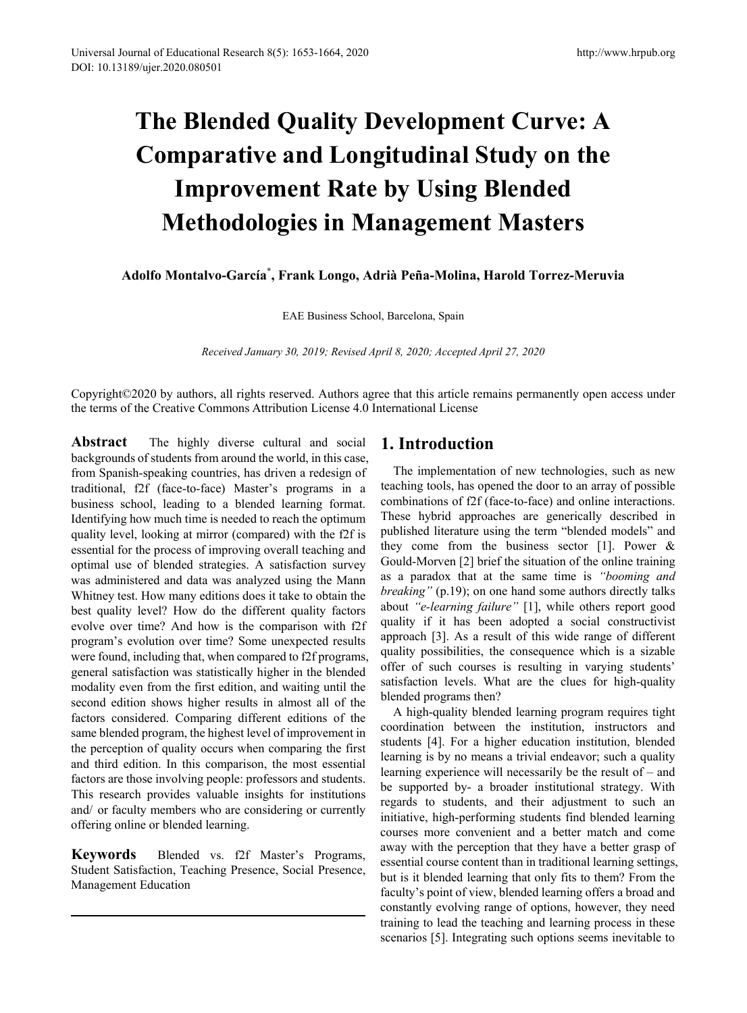# **The Blended Quality Development Curve: A Comparative and Longitudinal Study on the Improvement Rate by Using Blended Methodologies in Management Masters**

**Adolfo Montalvo-García\* , Frank Longo, Adrià Peña-Molina, Harold Torrez-Meruvia**

EAE Business School, Barcelona, Spain

*Received January 30, 2019; Revised April 8, 2020; Accepted April 27, 2020*

Copyright©2020 by authors, all rights reserved. Authors agree that this article remains permanently open access under the terms of the Creative Commons Attribution License 4.0 International License

**Abstract** The highly diverse cultural and social backgrounds of students from around the world, in this case, from Spanish-speaking countries, has driven a redesign of traditional, f2f (face-to-face) Master's programs in a business school, leading to a blended learning format. Identifying how much time is needed to reach the optimum quality level, looking at mirror (compared) with the f2f is essential for the process of improving overall teaching and optimal use of blended strategies. A satisfaction survey was administered and data was analyzed using the Mann Whitney test. How many editions does it take to obtain the best quality level? How do the different quality factors evolve over time? And how is the comparison with f2f program's evolution over time? Some unexpected results were found, including that, when compared to f2f programs, general satisfaction was statistically higher in the blended modality even from the first edition, and waiting until the second edition shows higher results in almost all of the factors considered. Comparing different editions of the same blended program, the highest level of improvement in the perception of quality occurs when comparing the first and third edition. In this comparison, the most essential factors are those involving people: professors and students. This research provides valuable insights for institutions and/ or faculty members who are considering or currently offering online or blended learning.

**Keywords** Blended vs. f2f Master's Programs, Student Satisfaction, Teaching Presence, Social Presence, Management Education

## **1. Introduction**

The implementation of new technologies, such as new teaching tools, has opened the door to an array of possible combinations of f2f (face-to-face) and online interactions. These hybrid approaches are generically described in published literature using the term "blended models" and they come from the business sector [1]. Power & Gould-Morven [2] brief the situation of the online training as a paradox that at the same time is *"booming and breaking"* (p.19); on one hand some authors directly talks about *"e-learning failure"* [1], while others report good quality if it has been adopted a social constructivist approach [3]. As a result of this wide range of different quality possibilities, the consequence which is a sizable offer of such courses is resulting in varying students' satisfaction levels. What are the clues for high-quality blended programs then?

A high-quality blended learning program requires tight coordination between the institution, instructors and students [4]. For a higher education institution, blended learning is by no means a trivial endeavor; such a quality learning experience will necessarily be the result of – and be supported by- a broader institutional strategy. With regards to students, and their adjustment to such an initiative, high-performing students find blended learning courses more convenient and a better match and come away with the perception that they have a better grasp of essential course content than in traditional learning settings, but is it blended learning that only fits to them? From the faculty's point of view, blended learning offers a broad and constantly evolving range of options, however, they need training to lead the teaching and learning process in these scenarios [5]. Integrating such options seems inevitable to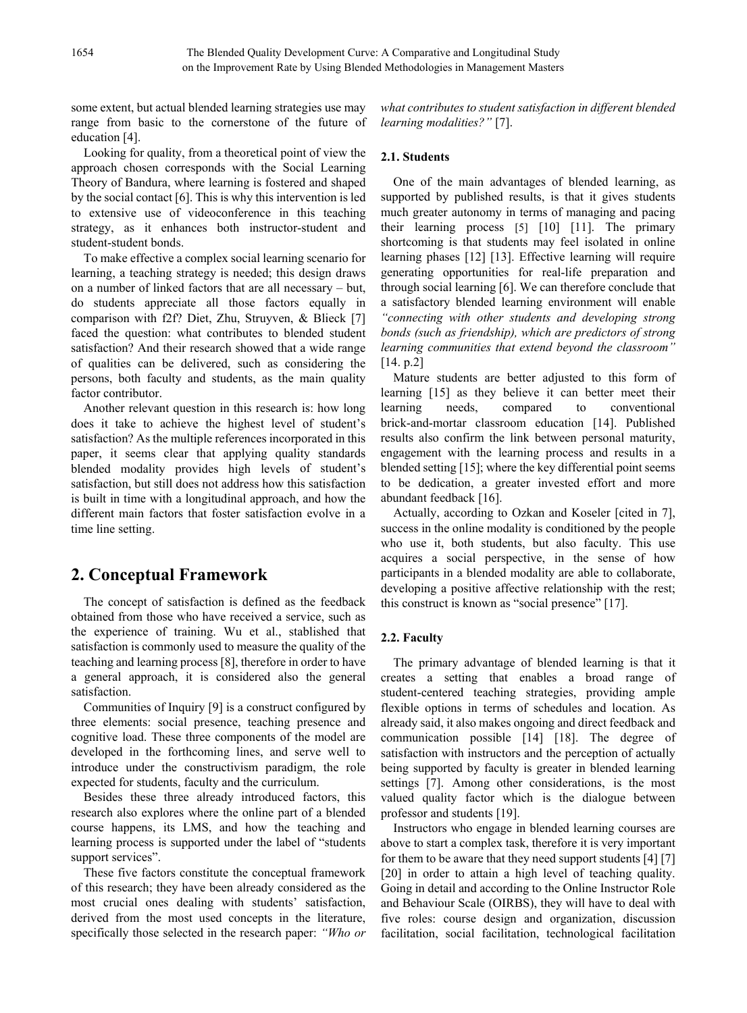some extent, but actual blended learning strategies use may range from basic to the cornerstone of the future of education [4].

Looking for quality, from a theoretical point of view the approach chosen corresponds with the Social Learning Theory of Bandura, where learning is fostered and shaped by the social contact [6]. This is why this intervention is led to extensive use of videoconference in this teaching strategy, as it enhances both instructor-student and student-student bonds.

To make effective a complex social learning scenario for learning, a teaching strategy is needed; this design draws on a number of linked factors that are all necessary – but, do students appreciate all those factors equally in comparison with f2f? Diet, Zhu, Struyven, & Blieck [7] faced the question: what contributes to blended student satisfaction? And their research showed that a wide range of qualities can be delivered, such as considering the persons, both faculty and students, as the main quality factor contributor.

Another relevant question in this research is: how long does it take to achieve the highest level of student's satisfaction? As the multiple references incorporated in this paper, it seems clear that applying quality standards blended modality provides high levels of student's satisfaction, but still does not address how this satisfaction is built in time with a longitudinal approach, and how the different main factors that foster satisfaction evolve in a time line setting.

# **2. Conceptual Framework**

The concept of satisfaction is defined as the feedback obtained from those who have received a service, such as the experience of training. Wu et al., stablished that satisfaction is commonly used to measure the quality of the teaching and learning process [8], therefore in order to have a general approach, it is considered also the general satisfaction.

Communities of Inquiry [9] is a construct configured by three elements: social presence, teaching presence and cognitive load. These three components of the model are developed in the forthcoming lines, and serve well to introduce under the constructivism paradigm, the role expected for students, faculty and the curriculum.

Besides these three already introduced factors, this research also explores where the online part of a blended course happens, its LMS, and how the teaching and learning process is supported under the label of "students support services".

These five factors constitute the conceptual framework of this research; they have been already considered as the most crucial ones dealing with students' satisfaction, derived from the most used concepts in the literature, specifically those selected in the research paper: *"Who or* *what contributes to student satisfaction in different blended learning modalities?"* [7].

## **2.1. Students**

One of the main advantages of blended learning, as supported by published results, is that it gives students much greater autonomy in terms of managing and pacing their learning process [5] [10] [11]. The primary shortcoming is that students may feel isolated in online learning phases [12] [13]. Effective learning will require generating opportunities for real-life preparation and through social learning [6]. We can therefore conclude that a satisfactory blended learning environment will enable *"connecting with other students and developing strong bonds (such as friendship), which are predictors of strong learning communities that extend beyond the classroom"* [14. p.2]

Mature students are better adjusted to this form of learning [15] as they believe it can better meet their learning needs, compared to conventional brick-and-mortar classroom education [14]. Published results also confirm the link between personal maturity, engagement with the learning process and results in a blended setting [15]; where the key differential point seems to be dedication, a greater invested effort and more abundant feedback [16].

Actually, according to Ozkan and Koseler [cited in 7], success in the online modality is conditioned by the people who use it, both students, but also faculty. This use acquires a social perspective, in the sense of how participants in a blended modality are able to collaborate, developing a positive affective relationship with the rest; this construct is known as "social presence" [17].

## **2.2. Faculty**

The primary advantage of blended learning is that it creates a setting that enables a broad range of student-centered teaching strategies, providing ample flexible options in terms of schedules and location. As already said, it also makes ongoing and direct feedback and communication possible [14] [18]. The degree of satisfaction with instructors and the perception of actually being supported by faculty is greater in blended learning settings [7]. Among other considerations, is the most valued quality factor which is the dialogue between professor and students [19].

Instructors who engage in blended learning courses are above to start a complex task, therefore it is very important for them to be aware that they need support students [4] [7] [20] in order to attain a high level of teaching quality. Going in detail and according to the Online Instructor Role and Behaviour Scale (OIRBS), they will have to deal with five roles: course design and organization, discussion facilitation, social facilitation, technological facilitation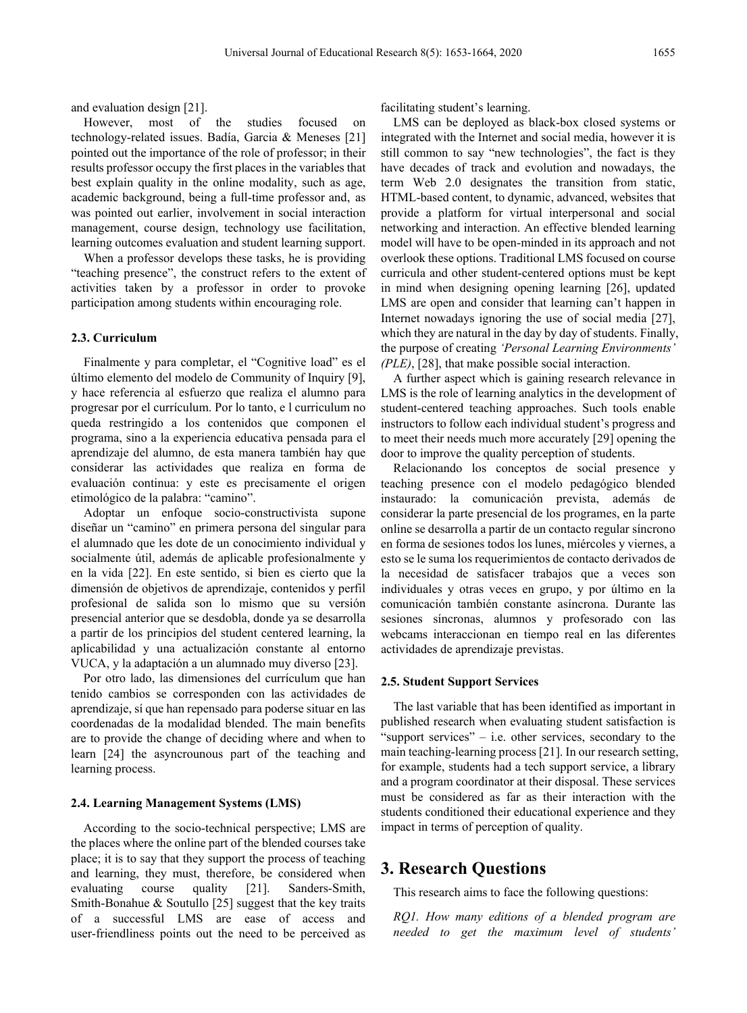and evaluation design [21].

However, most of the studies focused on technology-related issues. Badía, Garcia & Meneses [21] pointed out the importance of the role of professor; in their results professor occupy the first places in the variables that best explain quality in the online modality, such as age, academic background, being a full-time professor and, as was pointed out earlier, involvement in social interaction management, course design, technology use facilitation, learning outcomes evaluation and student learning support.

When a professor develops these tasks, he is providing "teaching presence", the construct refers to the extent of activities taken by a professor in order to provoke participation among students within encouraging role.

## **2.3. Curriculum**

Finalmente y para completar, el "Cognitive load" es el último elemento del modelo de Community of Inquiry [9], y hace referencia al esfuerzo que realiza el alumno para progresar por el currículum. Por lo tanto, e l curriculum no queda restringido a los contenidos que componen el programa, sino a la experiencia educativa pensada para el aprendizaje del alumno, de esta manera también hay que considerar las actividades que realiza en forma de evaluación continua: y este es precisamente el origen etimológico de la palabra: "camino".

Adoptar un enfoque socio-constructivista supone diseñar un "camino" en primera persona del singular para el alumnado que les dote de un conocimiento individual y socialmente útil, además de aplicable profesionalmente y en la vida [22]. En este sentido, si bien es cierto que la dimensión de objetivos de aprendizaje, contenidos y perfil profesional de salida son lo mismo que su versión presencial anterior que se desdobla, donde ya se desarrolla a partir de los principios del student centered learning, la aplicabilidad y una actualización constante al entorno VUCA, y la adaptación a un alumnado muy diverso [23].

Por otro lado, las dimensiones del currículum que han tenido cambios se corresponden con las actividades de aprendizaje, sí que han repensado para poderse situar en las coordenadas de la modalidad blended. The main benefits are to provide the change of deciding where and when to learn [24] the asyncrounous part of the teaching and learning process.

#### **2.4. Learning Management Systems (LMS)**

According to the socio-technical perspective; LMS are the places where the online part of the blended courses take place; it is to say that they support the process of teaching and learning, they must, therefore, be considered when evaluating course quality [21]. Sanders-Smith, Smith-Bonahue & Soutullo [25] suggest that the key traits of a successful LMS are ease of access and user-friendliness points out the need to be perceived as facilitating student's learning.

LMS can be deployed as black-box closed systems or integrated with the Internet and social media, however it is still common to say "new technologies", the fact is they have decades of track and evolution and nowadays, the term Web 2.0 designates the transition from static, HTML-based content, to dynamic, advanced, websites that provide a platform for virtual interpersonal and social networking and interaction. An effective blended learning model will have to be open-minded in its approach and not overlook these options. Traditional LMS focused on course curricula and other student-centered options must be kept in mind when designing opening learning [26], updated LMS are open and consider that learning can't happen in Internet nowadays ignoring the use of social media [27], which they are natural in the day by day of students. Finally, the purpose of creating *'Personal Learning Environments' (PLE)*, [28], that make possible social interaction.

A further aspect which is gaining research relevance in LMS is the role of learning analytics in the development of student-centered teaching approaches. Such tools enable instructors to follow each individual student's progress and to meet their needs much more accurately [29] opening the door to improve the quality perception of students.

Relacionando los conceptos de social presence y teaching presence con el modelo pedagógico blended instaurado: la comunicación prevista, además de considerar la parte presencial de los programes, en la parte online se desarrolla a partir de un contacto regular síncrono en forma de sesiones todos los lunes, miércoles y viernes, a esto se le suma los requerimientos de contacto derivados de la necesidad de satisfacer trabajos que a veces son individuales y otras veces en grupo, y por último en la comunicación también constante asíncrona. Durante las sesiones síncronas, alumnos y profesorado con las webcams interaccionan en tiempo real en las diferentes actividades de aprendizaje previstas.

#### **2.5. Student Support Services**

The last variable that has been identified as important in published research when evaluating student satisfaction is "support services" – i.e. other services, secondary to the main teaching-learning process [21]. In our research setting, for example, students had a tech support service, a library and a program coordinator at their disposal. These services must be considered as far as their interaction with the students conditioned their educational experience and they impact in terms of perception of quality.

## **3. Research Questions**

This research aims to face the following questions:

*RQ1. How many editions of a blended program are needed to get the maximum level of students'*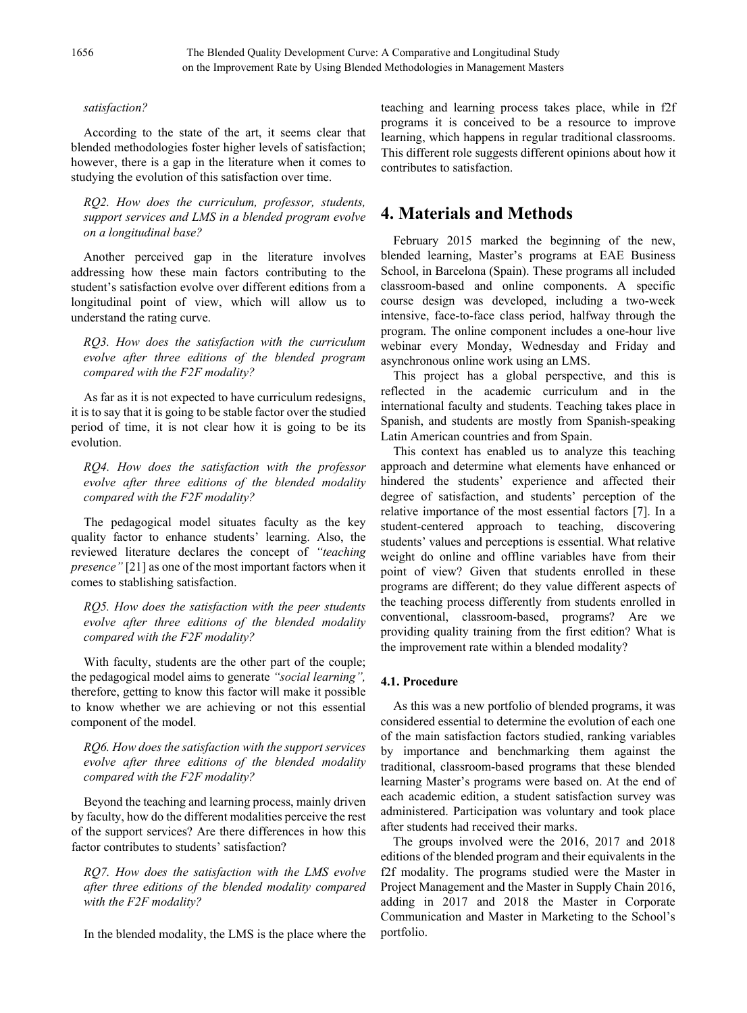#### *satisfaction?*

According to the state of the art, it seems clear that blended methodologies foster higher levels of satisfaction; however, there is a gap in the literature when it comes to studying the evolution of this satisfaction over time.

*RQ2. How does the curriculum, professor, students, support services and LMS in a blended program evolve on a longitudinal base?*

Another perceived gap in the literature involves addressing how these main factors contributing to the student's satisfaction evolve over different editions from a longitudinal point of view, which will allow us to understand the rating curve.

*RQ3. How does the satisfaction with the curriculum evolve after three editions of the blended program compared with the F2F modality?*

As far as it is not expected to have curriculum redesigns, it is to say that it is going to be stable factor over the studied period of time, it is not clear how it is going to be its evolution.

*RQ4. How does the satisfaction with the professor evolve after three editions of the blended modality compared with the F2F modality?*

The pedagogical model situates faculty as the key quality factor to enhance students' learning. Also, the reviewed literature declares the concept of *"teaching presence*" [21] as one of the most important factors when it comes to stablishing satisfaction.

*RQ5. How does the satisfaction with the peer students evolve after three editions of the blended modality compared with the F2F modality?*

With faculty, students are the other part of the couple; the pedagogical model aims to generate *"social learning",* therefore, getting to know this factor will make it possible to know whether we are achieving or not this essential component of the model.

*RQ6. How does the satisfaction with the support services evolve after three editions of the blended modality compared with the F2F modality?*

Beyond the teaching and learning process, mainly driven by faculty, how do the different modalities perceive the rest of the support services? Are there differences in how this factor contributes to students' satisfaction?

*RQ7. How does the satisfaction with the LMS evolve after three editions of the blended modality compared with the F2F modality?*

In the blended modality, the LMS is the place where the

teaching and learning process takes place, while in f2f programs it is conceived to be a resource to improve learning, which happens in regular traditional classrooms. This different role suggests different opinions about how it contributes to satisfaction.

## **4. Materials and Methods**

February 2015 marked the beginning of the new, blended learning, Master's programs at EAE Business School, in Barcelona (Spain). These programs all included classroom-based and online components. A specific course design was developed, including a two-week intensive, face-to-face class period, halfway through the program. The online component includes a one-hour live webinar every Monday, Wednesday and Friday and asynchronous online work using an LMS.

This project has a global perspective, and this is reflected in the academic curriculum and in the international faculty and students. Teaching takes place in Spanish, and students are mostly from Spanish-speaking Latin American countries and from Spain.

This context has enabled us to analyze this teaching approach and determine what elements have enhanced or hindered the students' experience and affected their degree of satisfaction, and students' perception of the relative importance of the most essential factors [7]. In a student-centered approach to teaching, discovering students' values and perceptions is essential. What relative weight do online and offline variables have from their point of view? Given that students enrolled in these programs are different; do they value different aspects of the teaching process differently from students enrolled in conventional, classroom-based, programs? Are we providing quality training from the first edition? What is the improvement rate within a blended modality?

#### **4.1. Procedure**

As this was a new portfolio of blended programs, it was considered essential to determine the evolution of each one of the main satisfaction factors studied, ranking variables by importance and benchmarking them against the traditional, classroom-based programs that these blended learning Master's programs were based on. At the end of each academic edition, a student satisfaction survey was administered. Participation was voluntary and took place after students had received their marks.

The groups involved were the 2016, 2017 and 2018 editions of the blended program and their equivalents in the f2f modality. The programs studied were the Master in Project Management and the Master in Supply Chain 2016, adding in 2017 and 2018 the Master in Corporate Communication and Master in Marketing to the School's portfolio.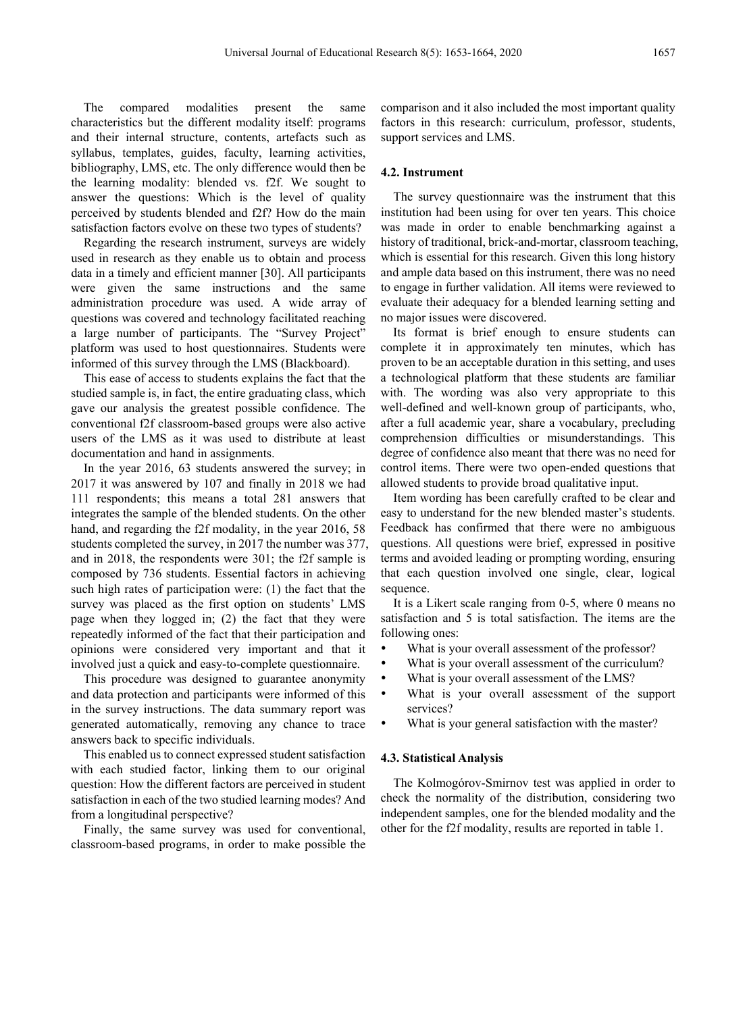The compared modalities present the same characteristics but the different modality itself: programs and their internal structure, contents, artefacts such as syllabus, templates, guides, faculty, learning activities, bibliography, LMS, etc. The only difference would then be the learning modality: blended vs. f2f. We sought to answer the questions: Which is the level of quality perceived by students blended and f2f? How do the main satisfaction factors evolve on these two types of students?

Regarding the research instrument, surveys are widely used in research as they enable us to obtain and process data in a timely and efficient manner [30]. All participants were given the same instructions and the same administration procedure was used. A wide array of questions was covered and technology facilitated reaching a large number of participants. The "Survey Project" platform was used to host questionnaires. Students were informed of this survey through the LMS (Blackboard).

This ease of access to students explains the fact that the studied sample is, in fact, the entire graduating class, which gave our analysis the greatest possible confidence. The conventional f2f classroom-based groups were also active users of the LMS as it was used to distribute at least documentation and hand in assignments.

In the year 2016, 63 students answered the survey; in 2017 it was answered by 107 and finally in 2018 we had 111 respondents; this means a total 281 answers that integrates the sample of the blended students. On the other hand, and regarding the f2f modality, in the year 2016, 58 students completed the survey, in 2017 the number was 377, and in 2018, the respondents were 301; the f2f sample is composed by 736 students. Essential factors in achieving such high rates of participation were: (1) the fact that the survey was placed as the first option on students' LMS page when they logged in; (2) the fact that they were repeatedly informed of the fact that their participation and opinions were considered very important and that it involved just a quick and easy-to-complete questionnaire.

This procedure was designed to guarantee anonymity and data protection and participants were informed of this in the survey instructions. The data summary report was generated automatically, removing any chance to trace answers back to specific individuals.

This enabled us to connect expressed student satisfaction with each studied factor, linking them to our original question: How the different factors are perceived in student satisfaction in each of the two studied learning modes? And from a longitudinal perspective?

Finally, the same survey was used for conventional, classroom-based programs, in order to make possible the comparison and it also included the most important quality factors in this research: curriculum, professor, students, support services and LMS.

## **4.2. Instrument**

The survey questionnaire was the instrument that this institution had been using for over ten years. This choice was made in order to enable benchmarking against a history of traditional, brick-and-mortar, classroom teaching, which is essential for this research. Given this long history and ample data based on this instrument, there was no need to engage in further validation. All items were reviewed to evaluate their adequacy for a blended learning setting and no major issues were discovered.

Its format is brief enough to ensure students can complete it in approximately ten minutes, which has proven to be an acceptable duration in this setting, and uses a technological platform that these students are familiar with. The wording was also very appropriate to this well-defined and well-known group of participants, who, after a full academic year, share a vocabulary, precluding comprehension difficulties or misunderstandings. This degree of confidence also meant that there was no need for control items. There were two open-ended questions that allowed students to provide broad qualitative input.

Item wording has been carefully crafted to be clear and easy to understand for the new blended master's students. Feedback has confirmed that there were no ambiguous questions. All questions were brief, expressed in positive terms and avoided leading or prompting wording, ensuring that each question involved one single, clear, logical sequence.

It is a Likert scale ranging from 0-5, where 0 means no satisfaction and 5 is total satisfaction. The items are the following ones:

- What is your overall assessment of the professor?
- What is your overall assessment of the curriculum?
- What is your overall assessment of the LMS?
- What is your overall assessment of the support services?
- What is your general satisfaction with the master?

#### **4.3. Statistical Analysis**

The Kolmogórov-Smirnov test was applied in order to check the normality of the distribution, considering two independent samples, one for the blended modality and the other for the f2f modality, results are reported in table 1.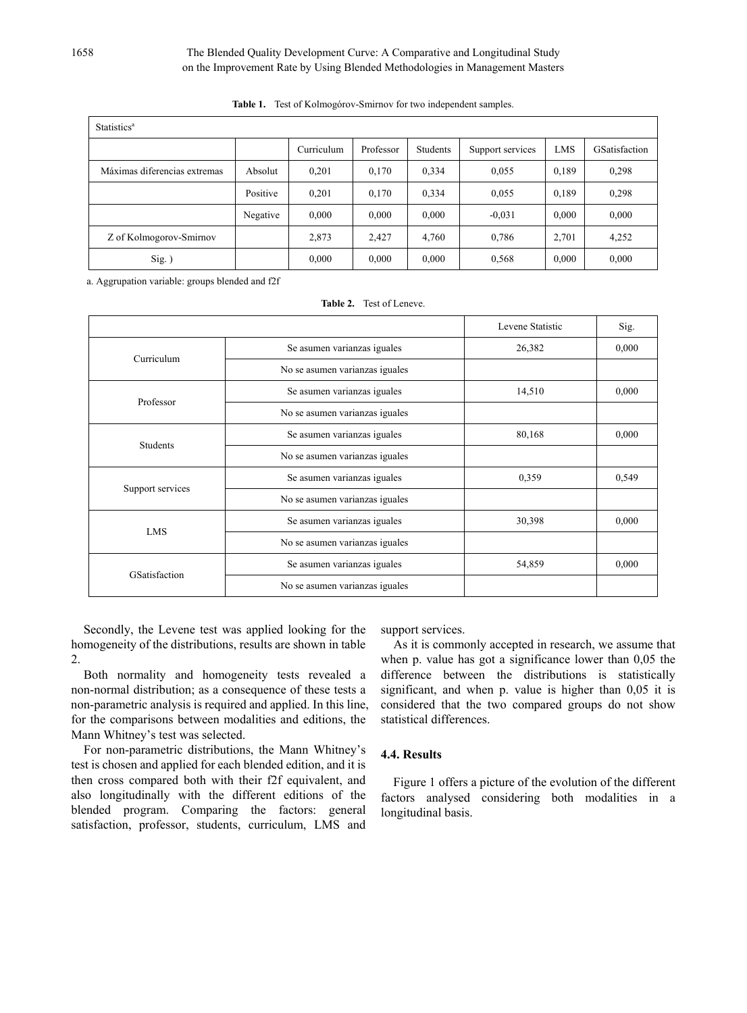| Statistics <sup>a</sup>      |          |            |           |          |                  |       |                      |  |  |
|------------------------------|----------|------------|-----------|----------|------------------|-------|----------------------|--|--|
|                              |          | Curriculum | Professor | Students | Support services | LMS   | <b>GSatisfaction</b> |  |  |
| Máximas diferencias extremas | Absolut  | 0,201      | 0,170     | 0,334    | 0.055            | 0.189 | 0.298                |  |  |
|                              | Positive | 0,201      | 0,170     | 0.334    | 0,055            | 0.189 | 0.298                |  |  |
|                              | Negative | 0,000      | 0,000     | 0.000    | $-0.031$         | 0,000 | 0,000                |  |  |
| Z of Kolmogorov-Smirnov      |          | 2,873      | 2.427     | 4,760    | 0,786            | 2,701 | 4,252                |  |  |
| $Sig.$ )                     |          | 0,000      | 0,000     | 0.000    | 0,568            | 0,000 | 0.000                |  |  |

**Table 1.** Test of Kolmogórov-Smirnov for two independent samples.

a. Aggrupation variable: groups blended and f2f

|                  |                                | Levene Statistic | Sig.  |
|------------------|--------------------------------|------------------|-------|
| Curriculum       | Se asumen varianzas iguales    | 26,382           | 0,000 |
|                  | No se asumen varianzas iguales |                  |       |
| Professor        | Se asumen varianzas iguales    | 14,510           | 0,000 |
|                  | No se asumen varianzas iguales |                  |       |
| Students         | Se asumen varianzas iguales    | 80,168           | 0,000 |
|                  | No se asumen varianzas iguales |                  |       |
| Support services | Se asumen varianzas iguales    | 0,359            | 0,549 |
|                  | No se asumen varianzas iguales |                  |       |
| <b>LMS</b>       | Se asumen varianzas iguales    | 30,398           | 0,000 |
|                  | No se asumen varianzas iguales |                  |       |
| GSatisfaction    | Se asumen varianzas iguales    | 54,859           | 0,000 |
|                  | No se asumen varianzas iguales |                  |       |

**Table 2.** Test of Leneve.

Secondly, the Levene test was applied looking for the homogeneity of the distributions, results are shown in table 2.

Both normality and homogeneity tests revealed a non-normal distribution; as a consequence of these tests a non-parametric analysis is required and applied. In this line, for the comparisons between modalities and editions, the Mann Whitney's test was selected.

For non-parametric distributions, the Mann Whitney's test is chosen and applied for each blended edition, and it is then cross compared both with their f2f equivalent, and also longitudinally with the different editions of the blended program. Comparing the factors: general satisfaction, professor, students, curriculum, LMS and

support services.

As it is commonly accepted in research, we assume that when p. value has got a significance lower than 0,05 the difference between the distributions is statistically significant, and when p. value is higher than 0,05 it is considered that the two compared groups do not show statistical differences.

## **4.4. Results**

Figure 1 offers a picture of the evolution of the different factors analysed considering both modalities in a longitudinal basis.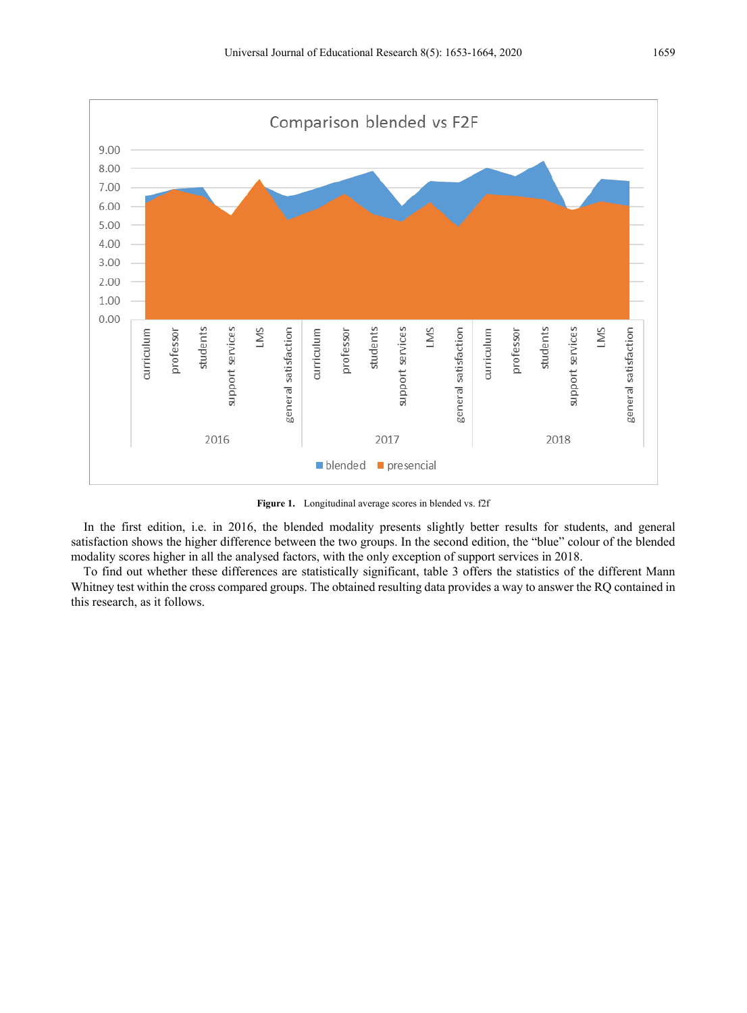

**Figure 1.** Longitudinal average scores in blended vs. f2f

In the first edition, i.e. in 2016, the blended modality presents slightly better results for students, and general satisfaction shows the higher difference between the two groups. In the second edition, the "blue" colour of the blended modality scores higher in all the analysed factors, with the only exception of support services in 2018.

To find out whether these differences are statistically significant, table 3 offers the statistics of the different Mann Whitney test within the cross compared groups. The obtained resulting data provides a way to answer the RQ contained in this research, as it follows.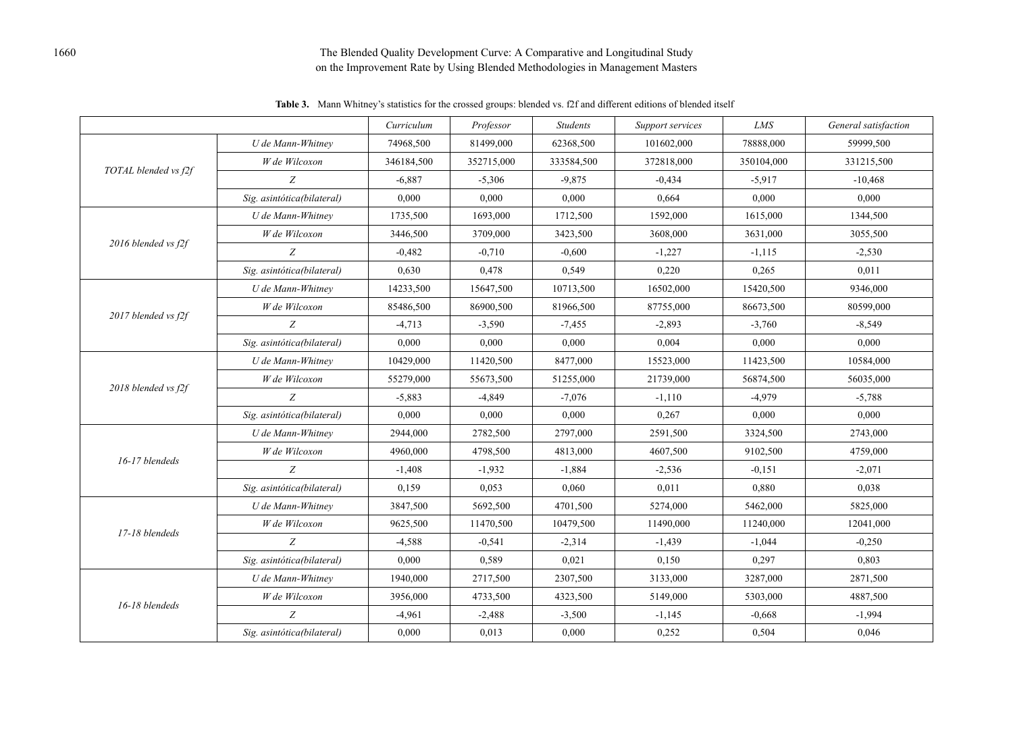## 1660 The Blended Quality Development Curve: A Comparative and Longitudinal Study on the Improvement Rate by Using Blended Methodologies in Management Masters

*Curriculum Professor Students Support services LMS General satisfaction TOTAL blended vs f2f U de Mann-Whitney*  $\begin{array}{|l} \hline \end{array}$  74968,500  $\begin{array}{|l} \hline \end{array}$  81499,000 62368,500 101602,000 78888,000 59999,500 *W de Wilcoxon*  $\begin{array}{|l}\n 346184,500 \\
\hline\n 352715,000 \\
\end{array}$  333584,500  $\begin{array}{|l}\n 372818,000 \\
\hline\n 372818,000 \\
\end{array}$  350104,000  $\begin{array}{|l}\n 331215,500 \\
\hline\n 381215,500 \\
\end{array}$ *Z* -6,887 -5,306 -9,875 -0,434 -5,917 -10,468 *Sig. asintótica(bilateral)* 0,000 0,000 0,000 0,664 0,000 0,000 *2016 blended vs f2f U de Mann-Whitney* 1735,500 1693,000 1712,500 1592,000 1615,000 1344,500 *W de Wilcoxon*  $\begin{array}{|l}\n 3446,500 \\
\hline\n 3709,000 \\
\end{array}$  3423,500  $\begin{array}{|l}\n 3608,000 \\
\hline\n 3608,000 \\
\end{array}$  3631,000  $\begin{array}{|l}\n 3655,500 \\
\hline\n 3055,500 \\
\end{array}$ *Z*  $-0,482$   $-0,710$   $-0,600$   $-1,227$   $-1,115$   $-2,530$ *Sig. asintótica(bilateral)* 0,630 0,478 0,549 0,220 0,265 0,011 *2017 blended vs f2f U de Mann-Whitney* 14233,500 15647,500 10713,500 16502,000 15420,500 9346,000 *W de Wilcoxon* 85486,500 86900,500 81966,500 87755,000 86673,500 80599,000 *Z* -4,713 -3,590 -3,590 -7,455 -2,893 -3,760 -8,549 *Sig. asintótica(bilateral)*  $\begin{array}{cccc} 0,000 & 0,000 & 0,000 & 0,000 & 0,000 \end{array}$  0,000 0,000 0,000 0,000 *2018 blended vs f2f U de Mann-Whitney* 10429,000 11420,500 8477,000 15523,000 11423,500 10584,000 *W de Wilcoxon*  $\vert$  55279,000  $\vert$  55673,500  $\vert$  51255,000  $\vert$  21739,000  $\vert$  56874,500 56035,000 *Z*  $\vert$  -5,883  $\vert$  -4,849  $\vert$  -7,076  $\vert$  -1,110 -4,979  $\vert$  -5,788 *Sig. asintótica(bilateral)* 0,000 0,000 0,000 0,267 0,000 0,000 *16-17 blendeds U de Mann-Whitney* 2944,000 2782,500 2797,000 2591,500 3324,500 2743,000 *W de Wilcoxon*  $\vert$  4960,000  $\vert$  4798,500  $\vert$  4813,000  $\vert$  4607,500  $\vert$  9102,500  $\vert$  4759,000 *Z* -1,408 -1,932 -1,884 -2,536 -0,151 -2,071 *Sig. asintótica(bilateral)*  $\begin{array}{|l} 0.159 \ 0.053 \ 0.060 \ \end{array}$  0,011 0,880 0,038 *17-18 blendeds U de Mann-Whitney* 3847,500 5692,500 4701,500 5274,000 5462,000 5825,000 *W de Wilcoxon*  $\vert$  9625,500  $\vert$  11470,500  $\vert$  10479,500  $\vert$  11490,000  $\vert$  11240,000  $\vert$  12041,000 *Z*  $-4,588$   $-0,541$   $-2,314$   $-1,439$   $-1,044$   $-0,250$ *Sig. asintótica(bilateral)* 0,000 0,589 0,021 0,150 0,297 0,803 *16-18 blendeds U de Mann-Whitney* 1940,000 2717,500 2307,500 3133,000 3287,000 2871,500 *W de Wilcoxon*  $\begin{array}{|l}\n 3956,000 \\
\hline\n 3956,000 \\
\end{array}$  4733,500 4323,500 5149,000 5303,000 4887,500 *Z* -4,961 -2,488 -3,500 -1,145 -0,668 -1,994

*Sig. asintótica(bilateral)*  $\begin{array}{|l} 0,000 \end{array}$  0,013 0,000 0,252 0,504 0,046

**Table 3.** Mann Whitney's statistics for the crossed groups: blended vs. f2f and different editions of blended itself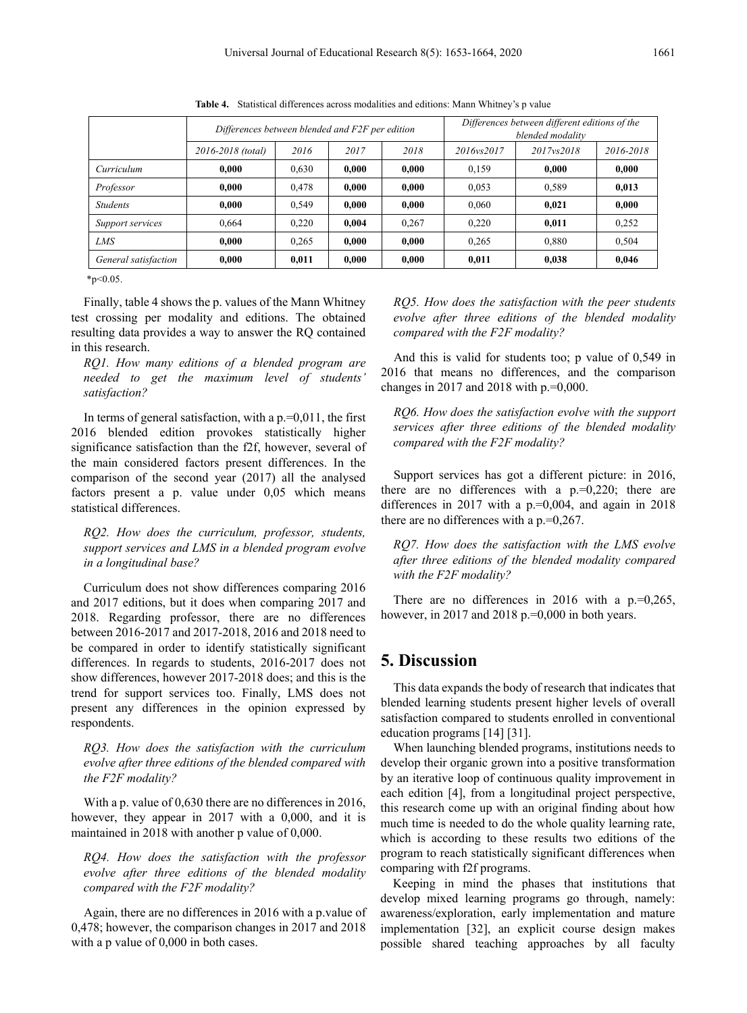|                      | Differences between blended and F2F per edition |       |       |       | Differences between different editions of the<br>blended modality |            |           |
|----------------------|-------------------------------------------------|-------|-------|-------|-------------------------------------------------------------------|------------|-----------|
|                      | 2016-2018 (total)                               | 2016  | 2017  | 2018  | 2016ys2017                                                        | 2017ys2018 | 2016-2018 |
| Curriculum           | 0.000                                           | 0,630 | 0,000 | 0,000 | 0.159                                                             | 0.000      | 0.000     |
| Professor            | 0.000                                           | 0,478 | 0,000 | 0,000 | 0.053                                                             | 0,589      | 0,013     |
| <b>Students</b>      | 0.000                                           | 0.549 | 0.000 | 0,000 | 0.060                                                             | 0.021      | 0.000     |
| Support services     | 0.664                                           | 0.220 | 0.004 | 0.267 | 0.220                                                             | 0.011      | 0.252     |
| <b>LMS</b>           | 0.000                                           | 0,265 | 0.000 | 0,000 | 0.265                                                             | 0,880      | 0,504     |
| General satisfaction | 0.000                                           | 0,011 | 0,000 | 0,000 | 0.011                                                             | 0,038      | 0,046     |

**Table 4.** Statistical differences across modalities and editions: Mann Whitney's p value

 $*p<0.05$ 

Finally, table 4 shows the p. values of the Mann Whitney test crossing per modality and editions. The obtained resulting data provides a way to answer the RQ contained in this research.

*RQ1. How many editions of a blended program are needed to get the maximum level of students' satisfaction?*

In terms of general satisfaction, with a  $p=0.011$ , the first 2016 blended edition provokes statistically higher significance satisfaction than the f2f, however, several of the main considered factors present differences. In the comparison of the second year (2017) all the analysed factors present a p. value under 0,05 which means statistical differences.

*RQ2. How does the curriculum, professor, students, support services and LMS in a blended program evolve in a longitudinal base?*

Curriculum does not show differences comparing 2016 and 2017 editions, but it does when comparing 2017 and 2018. Regarding professor, there are no differences between 2016-2017 and 2017-2018, 2016 and 2018 need to be compared in order to identify statistically significant differences. In regards to students, 2016-2017 does not show differences, however 2017-2018 does; and this is the trend for support services too. Finally, LMS does not present any differences in the opinion expressed by respondents.

*RQ3. How does the satisfaction with the curriculum evolve after three editions of the blended compared with the F2F modality?*

With a p. value of 0,630 there are no differences in 2016, however, they appear in 2017 with a 0,000, and it is maintained in 2018 with another p value of 0,000.

*RQ4. How does the satisfaction with the professor evolve after three editions of the blended modality compared with the F2F modality?*

Again, there are no differences in 2016 with a p.value of 0,478; however, the comparison changes in 2017 and 2018 with a p value of 0,000 in both cases.

*RQ5. How does the satisfaction with the peer students evolve after three editions of the blended modality compared with the F2F modality?*

And this is valid for students too; p value of 0,549 in 2016 that means no differences, and the comparison changes in 2017 and 2018 with p.=0,000.

*RQ6. How does the satisfaction evolve with the support services after three editions of the blended modality compared with the F2F modality?*

Support services has got a different picture: in 2016, there are no differences with a  $p=0,220$ ; there are differences in 2017 with a  $p=0,004$ , and again in 2018 there are no differences with a p.=0,267.

*RQ7. How does the satisfaction with the LMS evolve after three editions of the blended modality compared with the F2F modality?*

There are no differences in 2016 with a  $p=0,265$ , however, in 2017 and 2018 p.=0,000 in both years.

## **5. Discussion**

This data expands the body of research that indicates that blended learning students present higher levels of overall satisfaction compared to students enrolled in conventional education programs [14] [31].

When launching blended programs, institutions needs to develop their organic grown into a positive transformation by an iterative loop of continuous quality improvement in each edition [4], from a longitudinal project perspective, this research come up with an original finding about how much time is needed to do the whole quality learning rate, which is according to these results two editions of the program to reach statistically significant differences when comparing with f2f programs.

Keeping in mind the phases that institutions that develop mixed learning programs go through, namely: awareness/exploration, early implementation and mature implementation [32], an explicit course design makes possible shared teaching approaches by all faculty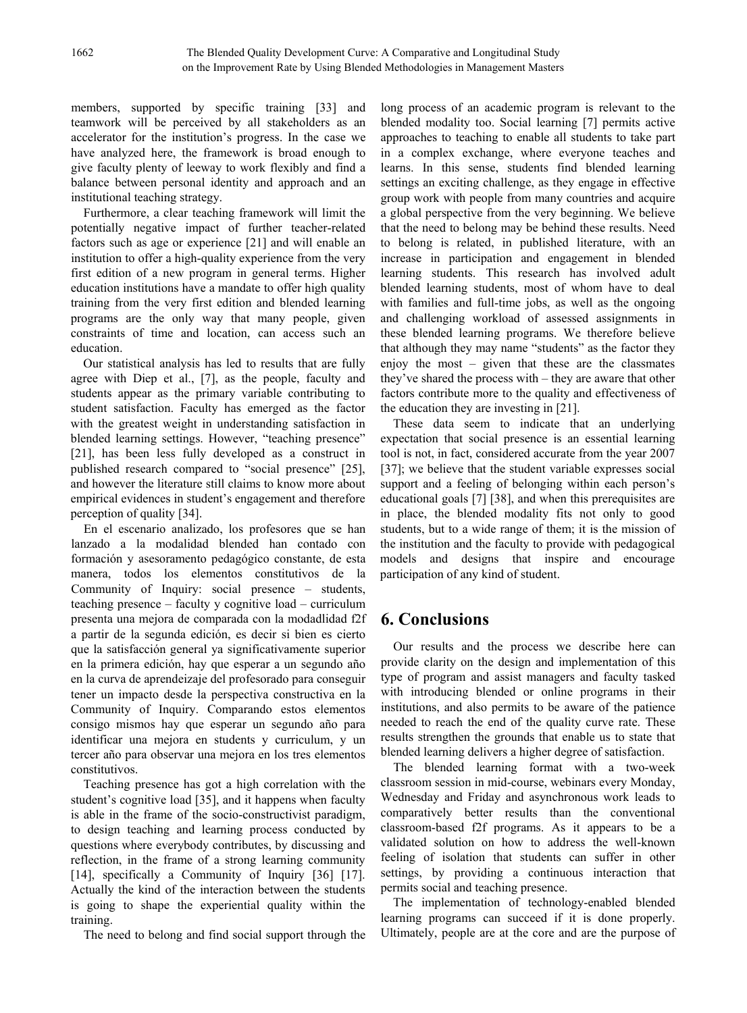members, supported by specific training [33] and teamwork will be perceived by all stakeholders as an accelerator for the institution's progress. In the case we have analyzed here, the framework is broad enough to give faculty plenty of leeway to work flexibly and find a balance between personal identity and approach and an institutional teaching strategy.

Furthermore, a clear teaching framework will limit the potentially negative impact of further teacher-related factors such as age or experience [21] and will enable an institution to offer a high-quality experience from the very first edition of a new program in general terms. Higher education institutions have a mandate to offer high quality training from the very first edition and blended learning programs are the only way that many people, given constraints of time and location, can access such an education.

Our statistical analysis has led to results that are fully agree with Diep et al., [7], as the people, faculty and students appear as the primary variable contributing to student satisfaction. Faculty has emerged as the factor with the greatest weight in understanding satisfaction in blended learning settings. However, "teaching presence" [21], has been less fully developed as a construct in published research compared to "social presence" [25], and however the literature still claims to know more about empirical evidences in student's engagement and therefore perception of quality [34].

En el escenario analizado, los profesores que se han lanzado a la modalidad blended han contado con formación y asesoramento pedagógico constante, de esta manera, todos los elementos constitutivos de la Community of Inquiry: social presence – students, teaching presence – faculty y cognitive load – curriculum presenta una mejora de comparada con la modadlidad f2f a partir de la segunda edición, es decir si bien es cierto que la satisfacción general ya significativamente superior en la primera edición, hay que esperar a un segundo año en la curva de aprendeizaje del profesorado para conseguir tener un impacto desde la perspectiva constructiva en la Community of Inquiry. Comparando estos elementos consigo mismos hay que esperar un segundo año para identificar una mejora en students y curriculum, y un tercer año para observar una mejora en los tres elementos constitutivos.

Teaching presence has got a high correlation with the student's cognitive load [35], and it happens when faculty is able in the frame of the socio-constructivist paradigm, to design teaching and learning process conducted by questions where everybody contributes, by discussing and reflection, in the frame of a strong learning community [14], specifically a Community of Inquiry [36] [17]. Actually the kind of the interaction between the students is going to shape the experiential quality within the training.

The need to belong and find social support through the

long process of an academic program is relevant to the blended modality too. Social learning [7] permits active approaches to teaching to enable all students to take part in a complex exchange, where everyone teaches and learns. In this sense, students find blended learning settings an exciting challenge, as they engage in effective group work with people from many countries and acquire a global perspective from the very beginning. We believe that the need to belong may be behind these results. Need to belong is related, in published literature, with an increase in participation and engagement in blended learning students. This research has involved adult blended learning students, most of whom have to deal with families and full-time jobs, as well as the ongoing and challenging workload of assessed assignments in these blended learning programs. We therefore believe that although they may name "students" as the factor they enjoy the most – given that these are the classmates they've shared the process with – they are aware that other factors contribute more to the quality and effectiveness of the education they are investing in [21].

These data seem to indicate that an underlying expectation that social presence is an essential learning tool is not, in fact, considered accurate from the year 2007 [37]; we believe that the student variable expresses social support and a feeling of belonging within each person's educational goals [7] [38], and when this prerequisites are in place, the blended modality fits not only to good students, but to a wide range of them; it is the mission of the institution and the faculty to provide with pedagogical models and designs that inspire and encourage participation of any kind of student.

# **6. Conclusions**

Our results and the process we describe here can provide clarity on the design and implementation of this type of program and assist managers and faculty tasked with introducing blended or online programs in their institutions, and also permits to be aware of the patience needed to reach the end of the quality curve rate. These results strengthen the grounds that enable us to state that blended learning delivers a higher degree of satisfaction.

The blended learning format with a two-week classroom session in mid-course, webinars every Monday, Wednesday and Friday and asynchronous work leads to comparatively better results than the conventional classroom-based f2f programs. As it appears to be a validated solution on how to address the well-known feeling of isolation that students can suffer in other settings, by providing a continuous interaction that permits social and teaching presence.

The implementation of technology-enabled blended learning programs can succeed if it is done properly. Ultimately, people are at the core and are the purpose of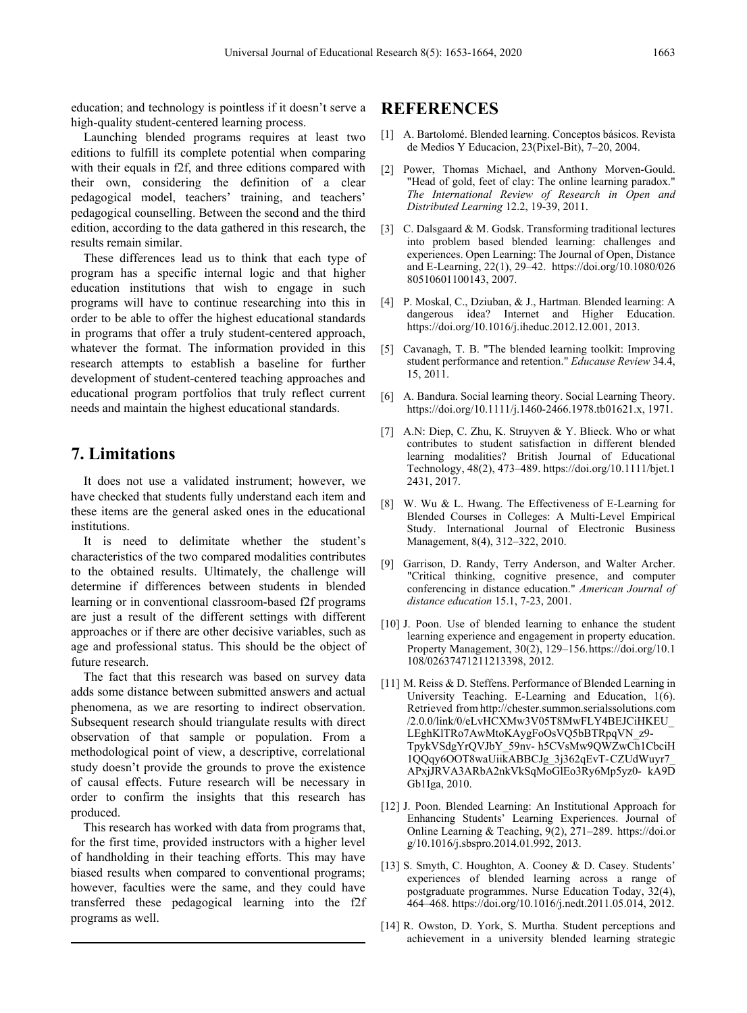education; and technology is pointless if it doesn't serve a high-quality student-centered learning process.

Launching blended programs requires at least two editions to fulfill its complete potential when comparing with their equals in f2f, and three editions compared with their own, considering the definition of a clear pedagogical model, teachers' training, and teachers' pedagogical counselling. Between the second and the third edition, according to the data gathered in this research, the results remain similar.

These differences lead us to think that each type of program has a specific internal logic and that higher education institutions that wish to engage in such programs will have to continue researching into this in order to be able to offer the highest educational standards in programs that offer a truly student-centered approach, whatever the format. The information provided in this research attempts to establish a baseline for further development of student-centered teaching approaches and educational program portfolios that truly reflect current needs and maintain the highest educational standards.

## **7. Limitations**

It does not use a validated instrument; however, we have checked that students fully understand each item and these items are the general asked ones in the educational institutions.

It is need to delimitate whether the student's characteristics of the two compared modalities contributes to the obtained results. Ultimately, the challenge will determine if differences between students in blended learning or in conventional classroom-based f2f programs are just a result of the different settings with different approaches or if there are other decisive variables, such as age and professional status. This should be the object of future research.

The fact that this research was based on survey data adds some distance between submitted answers and actual phenomena, as we are resorting to indirect observation. Subsequent research should triangulate results with direct observation of that sample or population. From a methodological point of view, a descriptive, correlational study doesn't provide the grounds to prove the existence of causal effects. Future research will be necessary in order to confirm the insights that this research has produced.

This research has worked with data from programs that, for the first time, provided instructors with a higher level of handholding in their teaching efforts. This may have biased results when compared to conventional programs; however, faculties were the same, and they could have transferred these pedagogical learning into the f2f programs as well.

## **REFERENCES**

- [1] A. Bartolomé. Blended learning. Conceptos básicos. Revista de Medios Y Educacion, 23(Pixel-Bit), 7–20, 2004.
- [2] Power, Thomas Michael, and Anthony Morven-Gould. "Head of gold, feet of clay: The online learning paradox." *The International Review of Research in Open and Distributed Learning* 12.2, 19-39, 2011.
- [3] C. Dalsgaard & M. Godsk. Transforming traditional lectures into problem based blended learning: challenges and experiences. Open Learning: The Journal of Open, Distance and E-Learning, 22(1), 29–42. https://doi.org/10.1080/026 80510601100143, 2007.
- [4] P. Moskal, C., Dziuban, & J., Hartman. Blended learning: A dangerous idea? Internet and Higher Education. https://doi.org/10.1016/j.iheduc.2012.12.001, 2013.
- [5] Cavanagh, T. B. "The blended learning toolkit: Improving student performance and retention." *Educause Review* 34.4, 15, 2011.
- [6] A. Bandura. Social learning theory. Social Learning Theory. https://doi.org/10.1111/j.1460-2466.1978.tb01621.x, 1971.
- [7] A.N: Diep, C. Zhu, K. Struyven & Y. Blieck. Who or what contributes to student satisfaction in different blended learning modalities? British Journal of Educational Technology, 48(2), 473–489. https://doi.org/10.1111/bjet.1 2431, 2017.
- [8] W. Wu & L. Hwang. The Effectiveness of E-Learning for Blended Courses in Colleges: A Multi-Level Empirical Study. International Journal of Electronic Business Management, 8(4), 312–322, 2010.
- [9] Garrison, D. Randy, Terry Anderson, and Walter Archer. "Critical thinking, cognitive presence, and computer conferencing in distance education." *American Journal of distance education* 15.1, 7-23, 2001.
- [10] J. Poon. Use of blended learning to enhance the student learning experience and engagement in property education. Property Management, 30(2), 129–156.https://doi.org/10.1 108/02637471211213398, 2012.
- [11] M. Reiss & D. Steffens. Performance of Blended Learning in University Teaching. E-Learning and Education, 1(6). Retrieved from http://chester.summon.serialssolutions.com /2.0.0/link/0/eLvHCXMw3V05T8MwFLY4BEJCiHKEU\_ LEghKlTRo7AwMtoKAygFoOsVQ5bBTRpqVN\_z9- TpykVSdgYrQVJbY\_59nv- h5CVsMw9QWZwCh1CbciH 1QQqy6OOT8waUiikABBCJg\_3j362qEvT-CZUdWuyr7\_ APxjJRVA3ARbA2nkVkSqMoGlEo3Ry6Mp5yz0- kA9D Gb1Iga, 2010.
- [12] J. Poon. Blended Learning: An Institutional Approach for Enhancing Students' Learning Experiences. Journal of Online Learning & Teaching, 9(2), 271–289. https://doi.or g/10.1016/j.sbspro.2014.01.992, 2013.
- [13] S. Smyth, C. Houghton, A. Cooney & D. Casey. Students' experiences of blended learning across a range of postgraduate programmes. Nurse Education Today, 32(4), 464–468. https://doi.org/10.1016/j.nedt.2011.05.014, 2012.
- [14] R. Owston, D. York, S. Murtha. Student perceptions and achievement in a university blended learning strategic